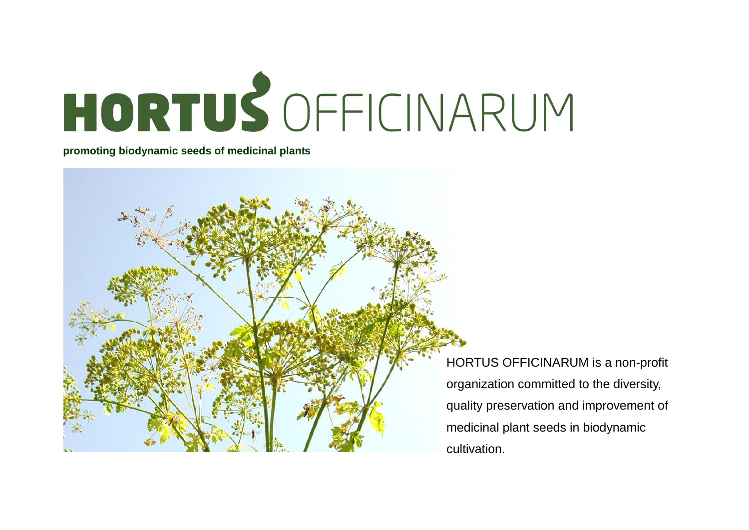

**promoting biodynamic seeds of medicinal plants**



HORTUS OFFICINARUM is a non-profit organization committed to the diversity, quality preservation and improvement of medicinal plant seeds in biodynamic cultivation.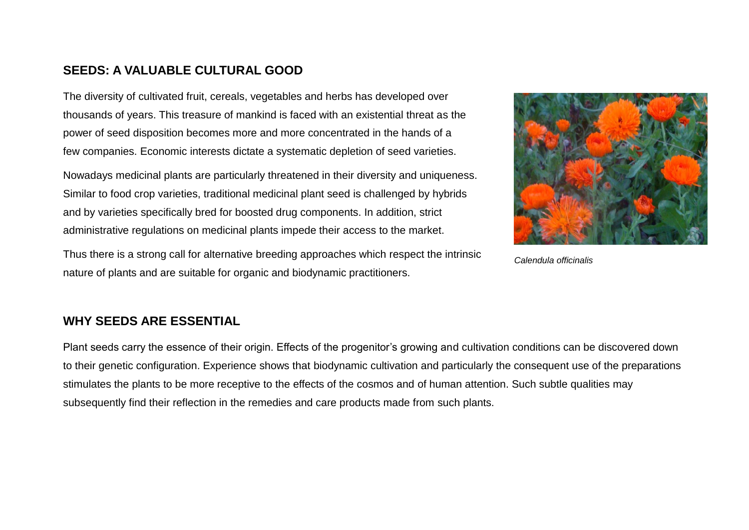## **SEEDS: A VALUABLE CULTURAL GOOD**

The diversity of cultivated fruit, cereals, vegetables and herbs has developed over thousands of years. This treasure of mankind is faced with an existential threat as the power of seed disposition becomes more and more concentrated in the hands of a few companies. Economic interests dictate a systematic depletion of seed varieties.

Nowadays medicinal plants are particularly threatened in their diversity and uniqueness. Similar to food crop varieties, traditional medicinal plant seed is challenged by hybrids and by varieties specifically bred for boosted drug components. In addition, strict administrative regulations on medicinal plants impede their access to the market.



*Calendula officinalis*

Thus there is a strong call for alternative breeding approaches which respect the intrinsic nature of plants and are suitable for organic and biodynamic practitioners.

### **WHY SEEDS ARE ESSENTIAL**

Plant seeds carry the essence of their origin. Effects of the progenitor's growing and cultivation conditions can be discovered down to their genetic configuration. Experience shows that biodynamic cultivation and particularly the consequent use of the preparations stimulates the plants to be more receptive to the effects of the cosmos and of human attention. Such subtle qualities may subsequently find their reflection in the remedies and care products made from such plants.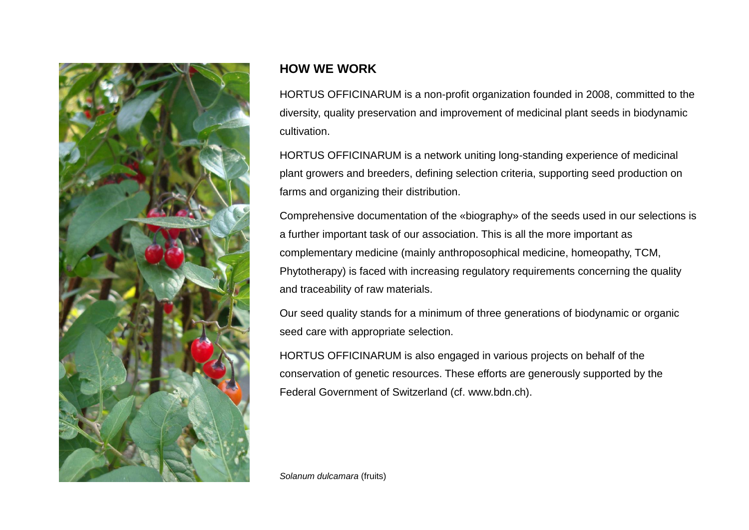

# **HOW WE WORK**

HORTUS OFFICINARUM is a non-profit organization founded in 2008, committed to the diversity, quality preservation and improvement of medicinal plant seeds in biodynamic cultivation.

HORTUS OFFICINARUM is a network uniting long-standing experience of medicinal plant growers and breeders, defining selection criteria, supporting seed production on farms and organizing their distribution.

Comprehensive documentation of the «biography» of the seeds used in our selections is a further important task of our association. This is all the more important as complementary medicine (mainly anthroposophical medicine, homeopathy, TCM, Phytotherapy) is faced with increasing regulatory requirements concerning the quality and traceability of raw materials.

Our seed quality stands for a minimum of three generations of biodynamic or organic seed care with appropriate selection.

HORTUS OFFICINARUM is also engaged in various projects on behalf of the conservation of genetic resources. These efforts are generously supported by the Federal Government of Switzerland (cf. www.bdn.ch).

*Solanum dulcamara* (fruits)